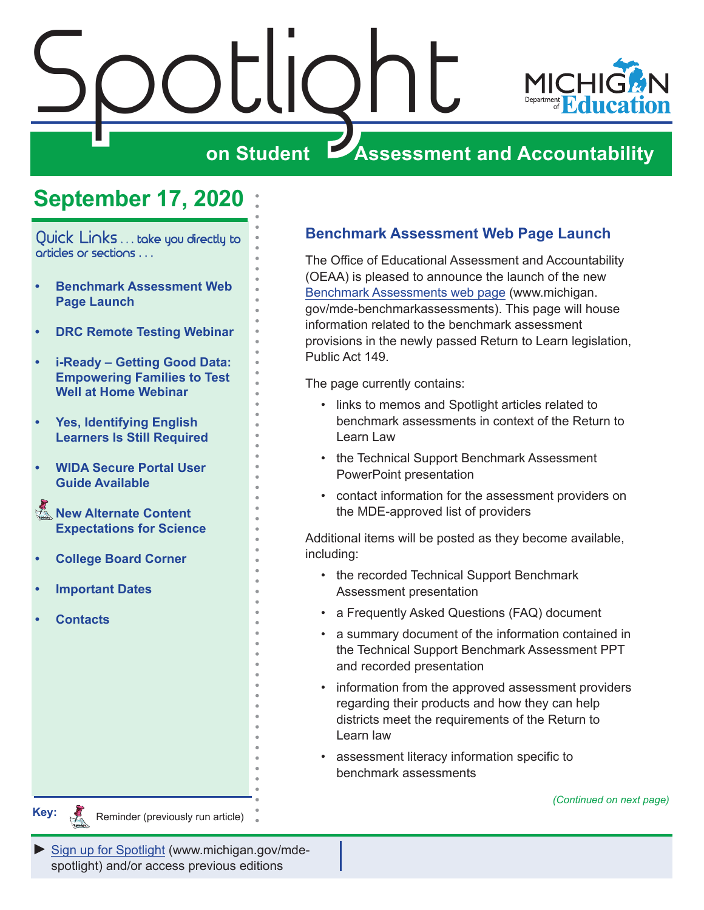<span id="page-0-0"></span>



# **on Student Assessment and Accountability**

# **September 17, 2020**

Quick Links . . . take you directly to articles or sections . . .

- **• Benchmark Assessment Web Page Launch**
- **• [DRC Remote Testing Webinar](#page-1-0)**
- **• [i-Ready Getting Good Data:](#page-1-0)  [Empowering Families to Test](#page-1-0)  [Well at Home Webinar](#page-1-0)**
- **• [Yes, Identifying English](#page-2-0)  [Learners Is Still Required](#page-2-0)**
- **• [WIDA Secure Portal User](#page-2-0)  [Guide Available](#page-2-0)**
- **Rew Alternate Content [Expectations for Science](#page-2-0)**
- **• [College Board Corner](#page-4-0)**
- **• [Important Dates](#page-5-0)**
- **• [Contacts](#page-6-0)**

## **Benchmark Assessment Web Page Launch**

The Office of Educational Assessment and Accountability (OEAA) is pleased to announce the launch of the new [Benchmark Assessments web page](http://www.michigan.gov/mde-benchmarkassessments) (www.michigan. gov/mde-benchmarkassessments). This page will house information related to the benchmark assessment provisions in the newly passed Return to Learn legislation, Public Act 149.

The page currently contains:

- links to memos and Spotlight articles related to benchmark assessments in context of the Return to Learn Law
- the Technical Support Benchmark Assessment PowerPoint presentation
- contact information for the assessment providers on the MDE-approved list of providers

Additional items will be posted as they become available, including:

- the recorded Technical Support Benchmark Assessment presentation
- a Frequently Asked Questions (FAQ) document
- a summary document of the information contained in the Technical Support Benchmark Assessment PPT and recorded presentation
- information from the approved assessment providers regarding their products and how they can help districts meet the requirements of the Return to Learn law
- assessment literacy information specific to benchmark assessments

*(Continued on next page)*



Reminders

Reminder (previously run article)

*►* [Sign up for Spotlight](https://public.govdelivery.com/accounts/MIMDE/subscriber/new) [\(www.michigan.gov/mde](www.michigan.gov/mde-spotlight)spotlight) and/or access previous editions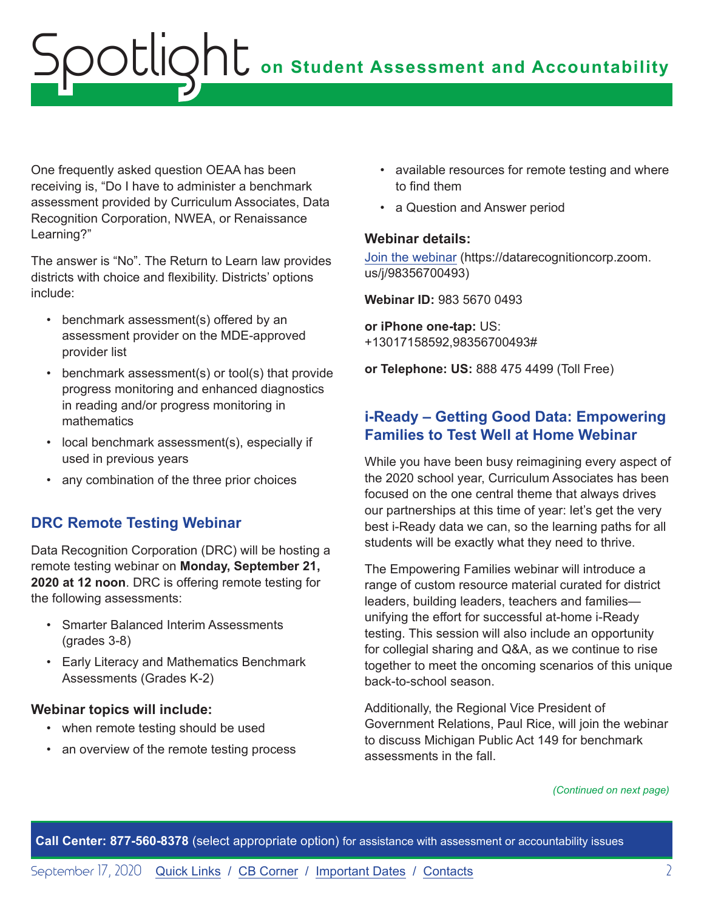<span id="page-1-0"></span>One frequently asked question OEAA has been receiving is, "Do I have to administer a benchmark assessment provided by Curriculum Associates, Data Recognition Corporation, NWEA, or Renaissance Learning?"

The answer is "No". The Return to Learn law provides districts with choice and flexibility. Districts' options include:

- benchmark assessment(s) offered by an assessment provider on the MDE-approved provider list
- benchmark assessment(s) or tool(s) that provide progress monitoring and enhanced diagnostics in reading and/or progress monitoring in mathematics
- local benchmark assessment(s), especially if used in previous years
- any combination of the three prior choices

## **DRC Remote Testing Webinar**

Data Recognition Corporation (DRC) will be hosting a remote testing webinar on **Monday, September 21, 2020 at 12 noon**. DRC is offering remote testing for the following assessments:

- Smarter Balanced Interim Assessments (grades 3-8)
- Early Literacy and Mathematics Benchmark Assessments (Grades K-2)

## **Webinar topics will include:**

- when remote testing should be used
- an overview of the remote testing process
- available resources for remote testing and where to find them
- a Question and Answer period

### **Webinar details:**

[Join the webinar](https://datarecognitioncorp.zoom.us/j/98356700493) (https://datarecognitioncorp.zoom. us/j/98356700493)

**Webinar ID:** 983 5670 0493

**or iPhone one-tap:** US: +13017158592,98356700493#

**or Telephone: US:** 888 475 4499 (Toll Free)

## **i-Ready – Getting Good Data: Empowering Families to Test Well at Home Webinar**

While you have been busy reimagining every aspect of the 2020 school year, Curriculum Associates has been focused on the one central theme that always drives our partnerships at this time of year: let's get the very best i-Ready data we can, so the learning paths for all students will be exactly what they need to thrive.

The Empowering Families webinar will introduce a range of custom resource material curated for district leaders, building leaders, teachers and families unifying the effort for successful at-home i-Ready testing. This session will also include an opportunity for collegial sharing and Q&A, as we continue to rise together to meet the oncoming scenarios of this unique back-to-school season.

Additionally, the Regional Vice President of Government Relations, Paul Rice, will join the webinar to discuss Michigan Public Act 149 for benchmark assessments in the fall.

*(Continued on next page)*

**Call Center: 877-560-8378** (select appropriate option) for assistance with assessment or accountability issues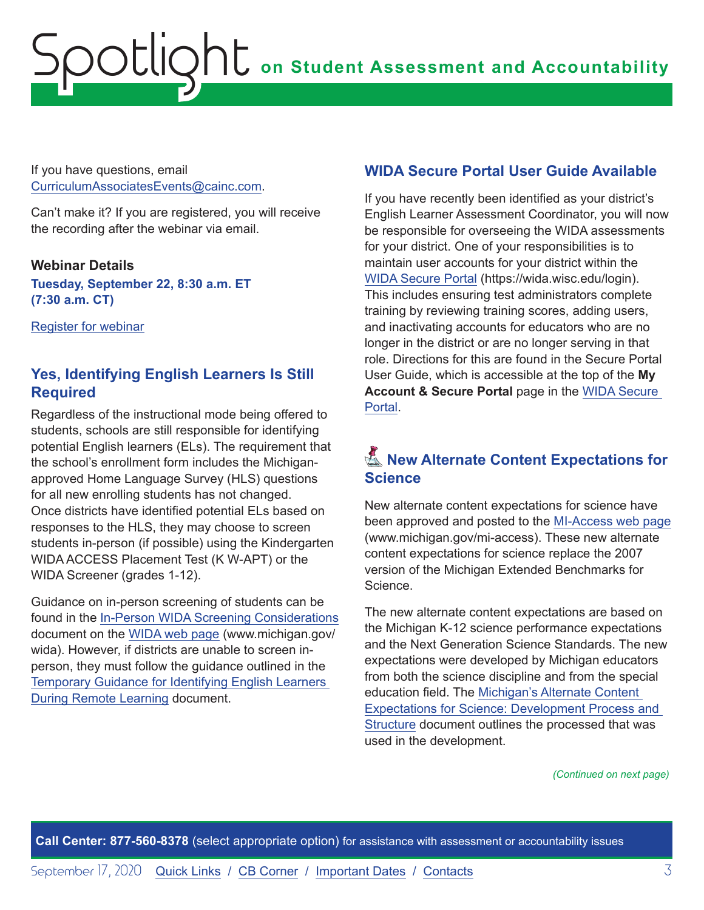<span id="page-2-0"></span>If you have questions, email [CurriculumAssociatesEvents@cainc.com.](mailto:CurriculumAssociatesEvents%40cainc.com?subject=)

Can't make it? If you are registered, you will receive the recording after the webinar via email.

### **Webinar Details**

**Tuesday, September 22, 8:30 a.m. ET (7:30 a.m. CT)**

[Register for webinar](http://web.cvent.com/event/f3954c45-6b32-4862-8369-9ec06d8066f8/summary?rp=00000000-0000-0000-0000-000000000000)

## **Yes, Identifying English Learners Is Still Required**

Regardless of the instructional mode being offered to students, schools are still responsible for identifying potential English learners (ELs). The requirement that the school's enrollment form includes the Michiganapproved Home Language Survey (HLS) questions for all new enrolling students has not changed. Once districts have identified potential ELs based on responses to the HLS, they may choose to screen students in-person (if possible) using the Kindergarten WIDA ACCESS Placement Test (K W-APT) or the WIDA Screener (grades 1-12).

Guidance on in-person screening of students can be found in the [In-Person WIDA Screening Considerations](https://www.michigan.gov/documents/mde/In-Person_WIDA_Screening_Considerations_698862_7.pdf) document on the WID[A web page](www.michigan.gov/wida) (www.michigan.gov/ wida). However, if districts are unable to screen inperson, they must follow the guidance outlined in the [Temporary Guidance for Identifying English Learners](https://www.michigan.gov/documents/mde/Temporary_Guidance_ELL_699656_7.pdf)  [During Remote Learning](https://www.michigan.gov/documents/mde/Temporary_Guidance_ELL_699656_7.pdf) document.

## **WIDA Secure Portal User Guide Available**

If you have recently been identified as your district's English Learner Assessment Coordinator, you will now be responsible for overseeing the WIDA assessments for your district. One of your responsibilities is to maintain user accounts for your district within the [WIDA Secure Portal](https://wida.wisc.edu/login) (https://wida.wisc.edu/login). This includes ensuring test administrators complete training by reviewing training scores, adding users, and inactivating accounts for educators who are no longer in the district or are no longer serving in that role. Directions for this are found in the Secure Portal User Guide, which is accessible at the top of the **My**  Account & Secure Portal page in the WIDA Secure [Portal.](https://wida.wisc.edu/login)

## **K** New Alternate Content Expectations for **Science**

New alternate content expectations for science have been approved and posted to the [MI-Access web page](http://www.michigan.gov/mi-access) (www.michigan.gov/mi-access). These new alternate content expectations for science replace the 2007 version of the Michigan Extended Benchmarks for Science.

The new alternate content expectations are based on the Michigan K-12 science performance expectations and the Next Generation Science Standards. The new expectations were developed by Michigan educators from both the science discipline and from the special education field. The [Michigan's Alternate Content](https://www.michigan.gov/documents/mde/Michigans_Alternate_Content_Expectations_for_Science_Development_Process_and_Structure_700072_7.pdf)  [Expectations for Science: Development Process and](https://www.michigan.gov/documents/mde/Michigans_Alternate_Content_Expectations_for_Science_Development_Process_and_Structure_700072_7.pdf)  [Structure](https://www.michigan.gov/documents/mde/Michigans_Alternate_Content_Expectations_for_Science_Development_Process_and_Structure_700072_7.pdf) document outlines the processed that was used in the development.

*(Continued on next page)*

**Call Center: 877-560-8378** (select appropriate option) for assistance with assessment or accountability issues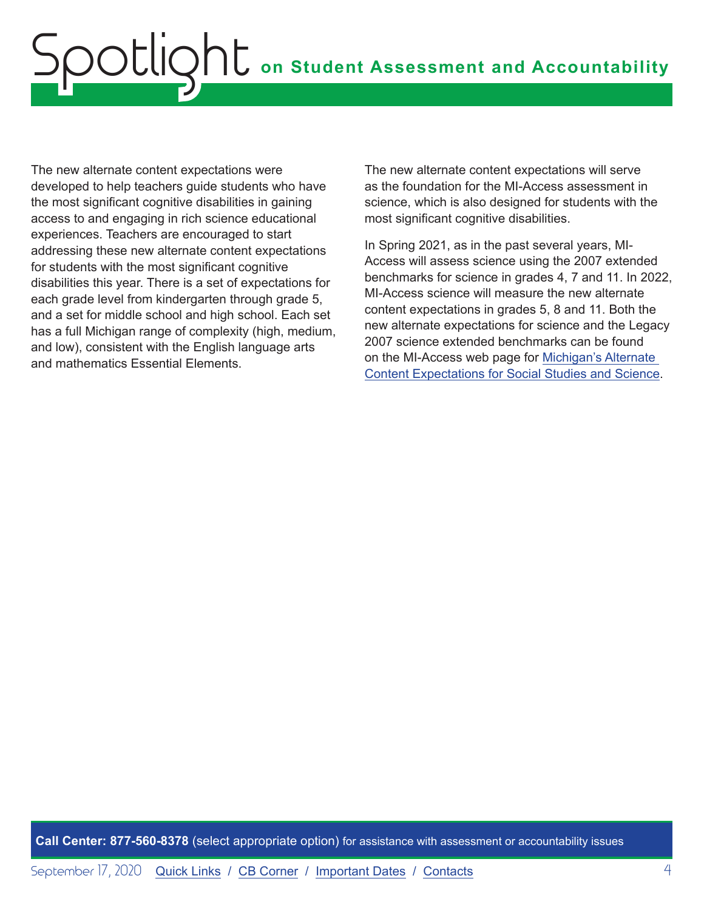The new alternate content expectations were developed to help teachers guide students who have the most significant cognitive disabilities in gaining access to and engaging in rich science educational experiences. Teachers are encouraged to start addressing these new alternate content expectations for students with the most significant cognitive disabilities this year. There is a set of expectations for each grade level from kindergarten through grade 5, and a set for middle school and high school. Each set has a full Michigan range of complexity (high, medium, and low), consistent with the English language arts and mathematics Essential Elements.

The new alternate content expectations will serve as the foundation for the MI-Access assessment in science, which is also designed for students with the most significant cognitive disabilities.

In Spring 2021, as in the past several years, MI-Access will assess science using the 2007 extended benchmarks for science in grades 4, 7 and 11. In 2022, MI-Access science will measure the new alternate content expectations in grades 5, 8 and 11. Both the new alternate expectations for science and the Legacy 2007 science extended benchmarks can be found on the MI-Access web page for [Michigan's Alternate](https://www.michigan.gov/mde/0,4615,7-140-22709_28463-162769--,00.html)  [Content Expectations for Social Studies and Science](https://www.michigan.gov/mde/0,4615,7-140-22709_28463-162769--,00.html).

**Call Center: 877-560-8378** (select appropriate option) for assistance with assessment or accountability issues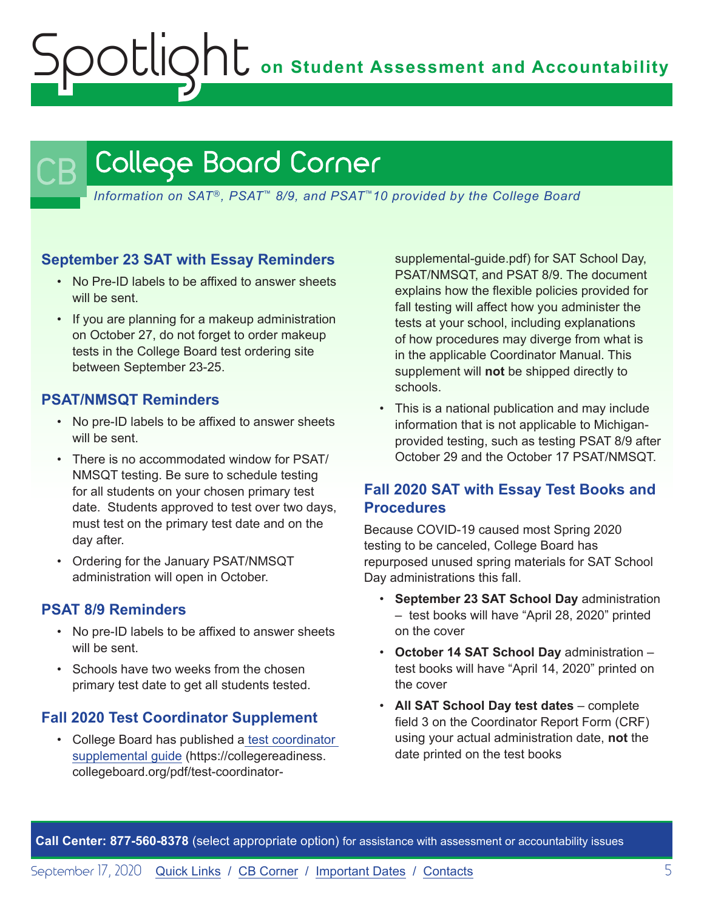**on Student Assessment and Accountability**

# <span id="page-4-1"></span>College Board Corner

*Information on SAT*®*, PSAT*™ *8/9, and PSAT*™*10 provided by the College Board*

### **September 23 SAT with Essay Reminders**

- No Pre-ID labels to be affixed to answer sheets will be sent.
- If you are planning for a makeup administration on October 27, do not forget to order makeup tests in the College Board test ordering site between September 23-25.

## **PSAT/NMSQT Reminders**

<span id="page-4-0"></span>Spotlight

- No pre-ID labels to be affixed to answer sheets will be sent.
- There is no accommodated window for PSAT/ NMSQT testing. Be sure to schedule testing for all students on your chosen primary test date. Students approved to test over two days, must test on the primary test date and on the day after.
- Ordering for the January PSAT/NMSQT administration will open in October.

## **PSAT 8/9 Reminders**

- No pre-ID labels to be affixed to answer sheets will be sent.
- Schools have two weeks from the chosen primary test date to get all students tested.

## **Fall 2020 Test Coordinator Supplement**

• College Board has published a [test coordinator](https://collegereadiness.collegeboard.org/pdf/test-coordinator-supplemental-guide.pdf)  [supplemental guide](https://collegereadiness.collegeboard.org/pdf/test-coordinator-supplemental-guide.pdf) (https://collegereadiness. collegeboard.org/pdf/test-coordinatorsupplemental-guide.pdf) for SAT School Day, PSAT/NMSQT, and PSAT 8/9. The document explains how the flexible policies provided for fall testing will affect how you administer the tests at your school, including explanations of how procedures may diverge from what is in the applicable Coordinator Manual. This supplement will **not** be shipped directly to schools.

• This is a national publication and may include information that is not applicable to Michiganprovided testing, such as testing PSAT 8/9 after October 29 and the October 17 PSAT/NMSQT.

## **Fall 2020 SAT with Essay Test Books and Procedures**

Because COVID-19 caused most Spring 2020 testing to be canceled, College Board has repurposed unused spring materials for SAT School Day administrations this fall.

- **September 23 SAT School Day** administration – test books will have "April 28, 2020" printed on the cover
- **October 14 SAT School Day** administration test books will have "April 14, 2020" printed on the cover
- **All SAT School Day test dates** complete field 3 on the Coordinator Report Form (CRF) using your actual administration date, **not** the date printed on the test books

**Call Center: 877-560-8378** (select appropriate option) for assistance with assessment or accountability issues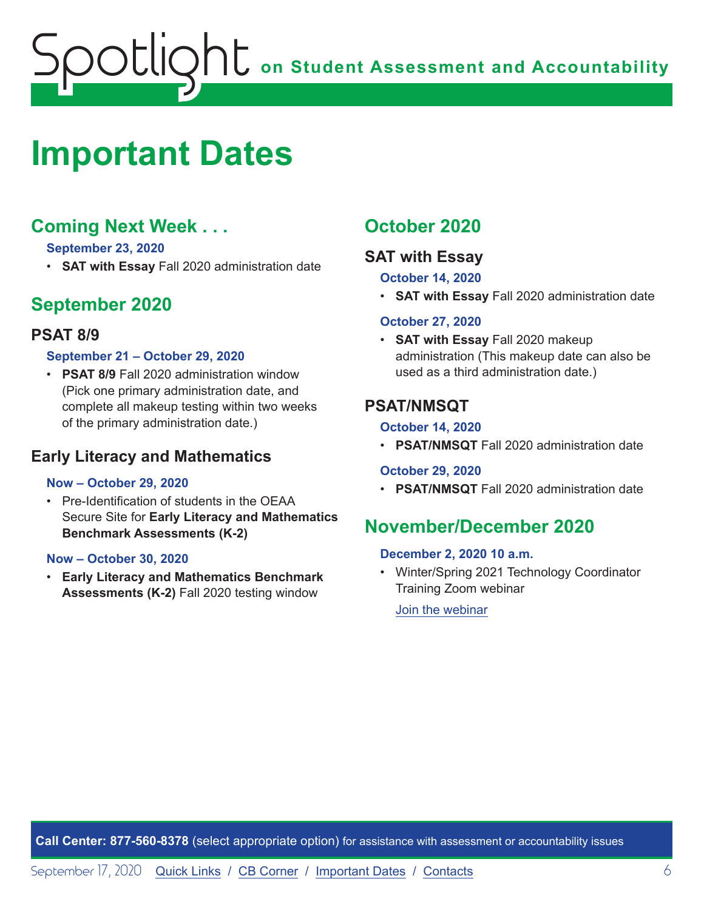# <span id="page-5-1"></span><span id="page-5-0"></span>**Important Dates**

# **Coming Next Week . . .**

### **September 23, 2020**

• **SAT with Essay** Fall 2020 administration date

# **September 2020**

## **PSAT 8/9**

### **September 21 – October 29, 2020**

• **PSAT 8/9** Fall 2020 administration window (Pick one primary administration date, and complete all makeup testing within two weeks of the primary administration date.)

## **Early Literacy and Mathematics**

#### **Now – October 29, 2020**

• Pre-Identification of students in the OEAA Secure Site for **Early Literacy and Mathematics Benchmark Assessments (K-2)**

#### **Now – October 30, 2020**

• **Early Literacy and Mathematics Benchmark Assessments (K-2)** Fall 2020 testing window

## **October 2020**

## **SAT with Essay**

### **October 14, 2020**

• **SAT with Essay** Fall 2020 administration date

#### **October 27, 2020**

• **SAT with Essay** Fall 2020 makeup administration (This makeup date can also be used as a third administration date.)

## **PSAT/NMSQT**

#### **October 14, 2020**

• **PSAT/NMSQT** Fall 2020 administration date

## **October 29, 2020**

• **PSAT/NMSQT** Fall 2020 administration date

## **November/December 2020**

#### **December 2, 2020 10 a.m.**

• Winter/Spring 2021 Technology Coordinator Training Zoom webinar

[Join the webinar](https://datarecognitioncorp.zoom.us/j/99441419689)

**Call Center: 877-560-8378** (select appropriate option) for assistance with assessment or accountability issues